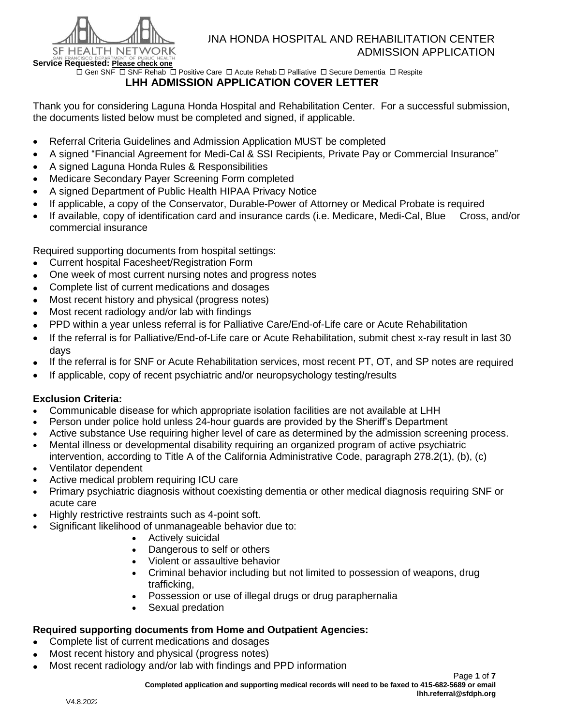

 $\Box$  Gen SNF  $\Box$  SNF Rehab  $\Box$  Positive Care  $\Box$  Acute Rehab  $\Box$  Palliative  $\Box$  Secure Dementia  $\Box$  Respite

# **LHH ADMISSION APPLICATION COVER LETTER**

Thank you for considering Laguna Honda Hospital and Rehabilitation Center. For a successful submission, the documents listed below must be completed and signed, if applicable.

- Referral Criteria Guidelines and Admission Application MUST be completed
- A signed "Financial Agreement for Medi-Cal & SSI Recipients, Private Pay or Commercial Insurance"
- A signed Laguna Honda Rules & Responsibilities
- Medicare Secondary Payer Screening Form completed
- A signed Department of Public Health HIPAA Privacy Notice
- If applicable, a copy of the Conservator, Durable-Power of Attorney or Medical Probate is required
- If available, copy of identification card and insurance cards (i.e. Medicare, Medi-Cal, Blue Cross, and/or commercial insurance

Required supporting documents from hospital settings:

- Current hospital Facesheet/Registration Form
- One week of most current nursing notes and progress notes
- Complete list of current medications and dosages
- Most recent history and physical (progress notes)
- Most recent radiology and/or lab with findings
- PPD within a year unless referral is for Palliative Care/End-of-Life care or Acute Rehabilitation
- If the referral is for Palliative/End-of-Life care or Acute Rehabilitation, submit chest x-ray result in last 30 days
- If the referral is for SNF or Acute Rehabilitation services, most recent PT, OT, and SP notes are required
- If applicable, copy of recent psychiatric and/or neuropsychology testing/results

#### **Exclusion Criteria:**

- Communicable disease for which appropriate isolation facilities are not available at LHH
- Person under police hold unless 24-hour guards are provided by the Sheriff's Department
- Active substance Use requiring higher level of care as determined by the admission screening process.
- Mental illness or developmental disability requiring an organized program of active psychiatric intervention, according to Title A of the California Administrative Code, paragraph 278.2(1), (b), (c)
- Ventilator dependent
- Active medical problem requiring ICU care
- Primary psychiatric diagnosis without coexisting dementia or other medical diagnosis requiring SNF or acute care
- Highly restrictive restraints such as 4-point soft.
	- Significant likelihood of unmanageable behavior due to:
		- Actively suicidal
		- Dangerous to self or others
		- Violent or assaultive behavior
		- Criminal behavior including but not limited to possession of weapons, drug trafficking,
		- Possession or use of illegal drugs or drug paraphernalia
		- Sexual predation

#### **Required supporting documents from Home and Outpatient Agencies:**

- Complete list of current medications and dosages
- Most recent history and physical (progress notes)
- Most recent radiology and/or lab with findings and PPD information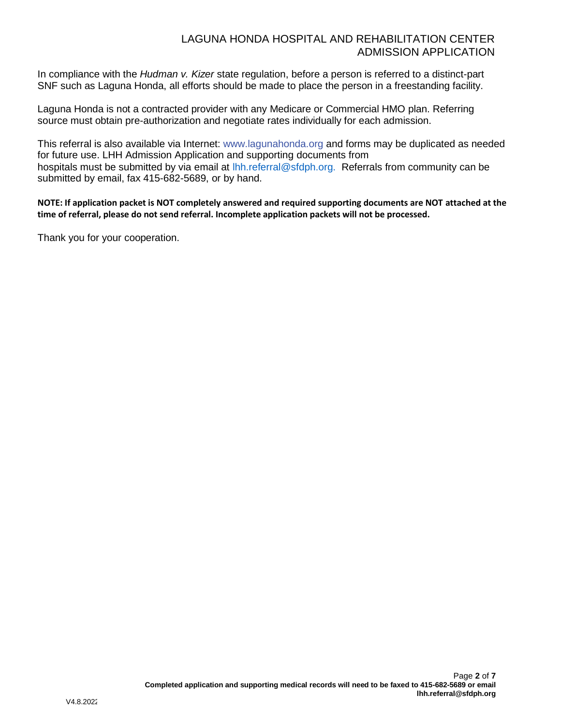### LAGUNA HONDA HOSPITAL AND REHABILITATION CENTER ADMISSION APPLICATION

In compliance with the *Hudman v. Kizer* state regulation, before a person is referred to a distinct-part SNF such as Laguna Honda, all efforts should be made to place the person in a freestanding facility.

Laguna Honda is not a contracted provider with any Medicare or Commercial HMO plan. Referring source must obtain pre-authorization and negotiate rates individually for each admission.

This referral is also available via Internet: www.lagunahonda.org and forms may be duplicated as needed for future use. LHH Admission Application and supporting documents from hospitals must be submitted by via email at lhh.referral@sfdph.org. Referrals from community can be submitted by email, fax 415-682-5689, or by hand.

**NOTE: If application packet is NOT completely answered and required supporting documents are NOT attached at the time of referral, please do not send referral. Incomplete application packets will not be processed.**

Thank you for your cooperation.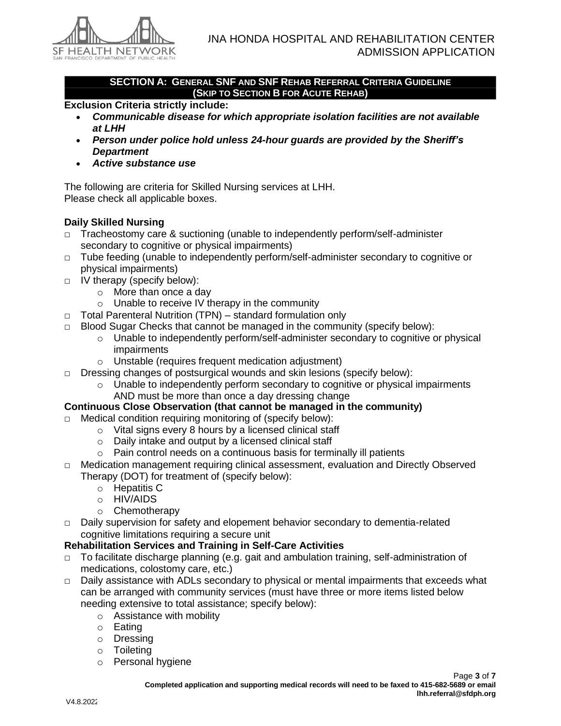

**SECTION A: GENERAL SNF AND SNF REHAB REFERRAL CRITERIA GUIDELINE (SKIP TO SECTION B FOR ACUTE REHAB)**

#### **Exclusion Criteria strictly include:**

- *Communicable disease for which appropriate isolation facilities are not available at LHH*
- *Person under police hold unless 24-hour guards are provided by the Sheriff's Department*
- *Active substance use*

The following are criteria for Skilled Nursing services at LHH. Please check all applicable boxes.

# **Daily Skilled Nursing**

- □ Tracheostomy care & suctioning (unable to independently perform/self-administer secondary to cognitive or physical impairments)
- □ Tube feeding (unable to independently perform/self-administer secondary to cognitive or physical impairments)
- □ IV therapy (specify below):
	- o More than once a day
	- o Unable to receive IV therapy in the community
- □ Total Parenteral Nutrition (TPN) standard formulation only
- $\Box$  Blood Sugar Checks that cannot be managed in the community (specify below):
	- o Unable to independently perform/self-administer secondary to cognitive or physical impairments
	- o Unstable (requires frequent medication adjustment)
- $\Box$  Dressing changes of postsurgical wounds and skin lesions (specify below):
	- $\circ$  Unable to independently perform secondary to cognitive or physical impairments AND must be more than once a day dressing change
- **Continuous Close Observation (that cannot be managed in the community)**
- □ Medical condition requiring monitoring of (specify below):
	- o Vital signs every 8 hours by a licensed clinical staff
	- o Daily intake and output by a licensed clinical staff
	- o Pain control needs on a continuous basis for terminally ill patients
- □ Medication management requiring clinical assessment, evaluation and Directly Observed Therapy (DOT) for treatment of (specify below):
	- o Hepatitis C
	- o HIV/AIDS
	- o Chemotherapy
- □ Daily supervision for safety and elopement behavior secondary to dementia-related cognitive limitations requiring a secure unit

#### **Rehabilitation Services and Training in Self-Care Activities**

- □ To facilitate discharge planning (e.g. gait and ambulation training, self-administration of medications, colostomy care, etc.)
- $\Box$  Daily assistance with ADLs secondary to physical or mental impairments that exceeds what can be arranged with community services (must have three or more items listed below needing extensive to total assistance; specify below):
	- o Assistance with mobility
	- o Eating
	- o Dressing
	- o Toileting
	- o Personal hygiene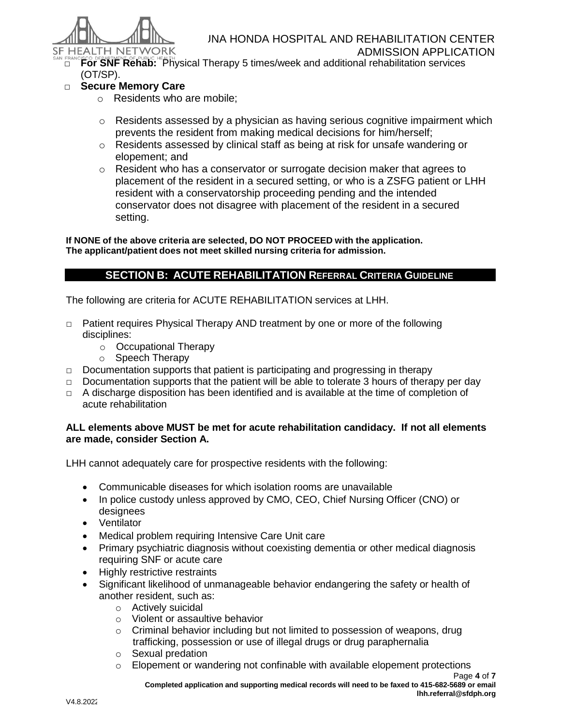

ADMISSION APPLICATION □ **For SNF Rehab:** Physical Therapy 5 times/week and additional rehabilitation services (OT/SP).

## □ **Secure Memory Care**

- o Residents who are mobile;
- $\circ$  Residents assessed by a physician as having serious cognitive impairment which prevents the resident from making medical decisions for him/herself;
- o Residents assessed by clinical staff as being at risk for unsafe wandering or elopement; and
- $\circ$  Resident who has a conservator or surrogate decision maker that agrees to placement of the resident in a secured setting, or who is a ZSFG patient or LHH resident with a conservatorship proceeding pending and the intended conservator does not disagree with placement of the resident in a secured setting.

**If NONE of the above criteria are selected, DO NOT PROCEED with the application. The applicant/patient does not meet skilled nursing criteria for admission.**

## **SECTION B: ACUTE REHABILITATION REFERRAL CRITERIA GUIDELINE**

The following are criteria for ACUTE REHABILITATION services at LHH.

- $\Box$  Patient requires Physical Therapy AND treatment by one or more of the following disciplines:
	- o Occupational Therapy
	- o Speech Therapy
- $\Box$  Documentation supports that patient is participating and progressing in therapy
- $\Box$  Documentation supports that the patient will be able to tolerate 3 hours of therapy per day
- $\Box$  A discharge disposition has been identified and is available at the time of completion of acute rehabilitation

#### **ALL elements above MUST be met for acute rehabilitation candidacy. If not all elements are made, consider Section A.**

LHH cannot adequately care for prospective residents with the following:

- Communicable diseases for which isolation rooms are unavailable
- In police custody unless approved by CMO, CEO, Chief Nursing Officer (CNO) or designees
- Ventilator
- Medical problem requiring Intensive Care Unit care
- Primary psychiatric diagnosis without coexisting dementia or other medical diagnosis requiring SNF or acute care
- Highly restrictive restraints
- Significant likelihood of unmanageable behavior endangering the safety or health of another resident, such as:
	- o Actively suicidal
	- o Violent or assaultive behavior
	- o Criminal behavior including but not limited to possession of weapons, drug trafficking, possession or use of illegal drugs or drug paraphernalia
	- o Sexual predation
	- $\circ$  Elopement or wandering not confinable with available elopement protections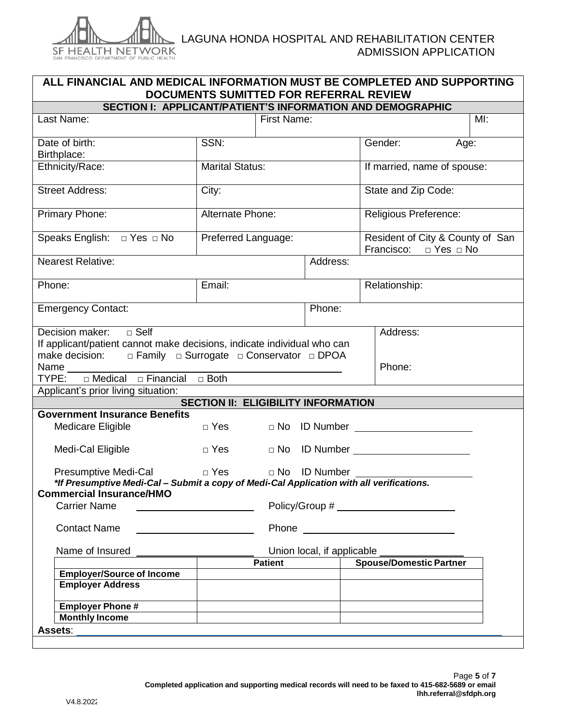

| ALL FINANCIAL AND MEDICAL INFORMATION MUST BE COMPLETED AND SUPPORTING<br>DOCUMENTS SUMITTED FOR REFERRAL REVIEW                                                                                                                                                             |                                            |                     |                          |                                                                     |  |  |
|------------------------------------------------------------------------------------------------------------------------------------------------------------------------------------------------------------------------------------------------------------------------------|--------------------------------------------|---------------------|--------------------------|---------------------------------------------------------------------|--|--|
|                                                                                                                                                                                                                                                                              |                                            |                     |                          | SECTION I: APPLICANT/PATIENT'S INFORMATION AND DEMOGRAPHIC          |  |  |
| Last Name:                                                                                                                                                                                                                                                                   |                                            | First Name:         |                          | Ml:                                                                 |  |  |
|                                                                                                                                                                                                                                                                              |                                            |                     |                          |                                                                     |  |  |
| Date of birth:                                                                                                                                                                                                                                                               | SSN:                                       |                     |                          | Gender:<br>Age:                                                     |  |  |
| Birthplace:                                                                                                                                                                                                                                                                  |                                            |                     |                          |                                                                     |  |  |
| Ethnicity/Race:                                                                                                                                                                                                                                                              | <b>Marital Status:</b>                     |                     |                          | If married, name of spouse:                                         |  |  |
| <b>Street Address:</b>                                                                                                                                                                                                                                                       | City:                                      |                     |                          | State and Zip Code:                                                 |  |  |
| Primary Phone:                                                                                                                                                                                                                                                               | Alternate Phone:                           |                     |                          | Religious Preference:                                               |  |  |
|                                                                                                                                                                                                                                                                              |                                            | Preferred Language: |                          | Resident of City & County of San<br>Francisco: $\Box$ Yes $\Box$ No |  |  |
| <b>Nearest Relative:</b>                                                                                                                                                                                                                                                     |                                            |                     | Address:                 |                                                                     |  |  |
|                                                                                                                                                                                                                                                                              |                                            |                     |                          |                                                                     |  |  |
| Phone:                                                                                                                                                                                                                                                                       | Email:                                     |                     |                          | Relationship:                                                       |  |  |
| <b>Emergency Contact:</b>                                                                                                                                                                                                                                                    |                                            |                     | Phone:                   |                                                                     |  |  |
| $\square$ Self<br>Decision maker:<br>Address:<br>If applicant/patient cannot make decisions, indicate individual who can<br>make decision: $\square$ Family $\square$ Surrogate $\square$ Conservator $\square$ DPOA<br>Name<br>TYPE: □ Medical □ Financial □ Both<br>Phone: |                                            |                     |                          |                                                                     |  |  |
| Applicant's prior living situation:                                                                                                                                                                                                                                          |                                            |                     |                          |                                                                     |  |  |
|                                                                                                                                                                                                                                                                              | <b>SECTION II: ELIGIBILITY INFORMATION</b> |                     |                          |                                                                     |  |  |
| <b>Government Insurance Benefits</b>                                                                                                                                                                                                                                         |                                            |                     |                          |                                                                     |  |  |
| Medicare Eligible                                                                                                                                                                                                                                                            | $\Box$ Yes                                 |                     |                          | $\Box$ No $\Box$ Number $\Box$                                      |  |  |
| Medi-Cal Eligible                                                                                                                                                                                                                                                            | $\Box$ Yes                                 |                     |                          |                                                                     |  |  |
| <b>Presumptive Medi-Cal</b><br>*If Presumptive Medi-Cal - Submit a copy of Medi-Cal Application with all verifications.                                                                                                                                                      |                                            |                     | □ Yes     □ No ID Number |                                                                     |  |  |
| <b>Commercial Insurance/HMO</b>                                                                                                                                                                                                                                              |                                            |                     |                          |                                                                     |  |  |
| <b>Carrier Name</b>                                                                                                                                                                                                                                                          |                                            |                     |                          |                                                                     |  |  |
| <b>Contact Name</b>                                                                                                                                                                                                                                                          |                                            |                     |                          |                                                                     |  |  |
| Name of Insured<br>Union local, if applicable _____<br>Spouse/Domestic Partner                                                                                                                                                                                               |                                            |                     |                          |                                                                     |  |  |
|                                                                                                                                                                                                                                                                              |                                            | <b>Patient</b>      |                          |                                                                     |  |  |
| <b>Employer/Source of Income</b>                                                                                                                                                                                                                                             |                                            |                     |                          |                                                                     |  |  |
| <b>Employer Address</b>                                                                                                                                                                                                                                                      |                                            |                     |                          |                                                                     |  |  |
| <b>Employer Phone#</b>                                                                                                                                                                                                                                                       |                                            |                     |                          |                                                                     |  |  |
| <b>Monthly Income</b>                                                                                                                                                                                                                                                        |                                            |                     |                          |                                                                     |  |  |
| Assets:                                                                                                                                                                                                                                                                      |                                            |                     |                          |                                                                     |  |  |
|                                                                                                                                                                                                                                                                              |                                            |                     |                          |                                                                     |  |  |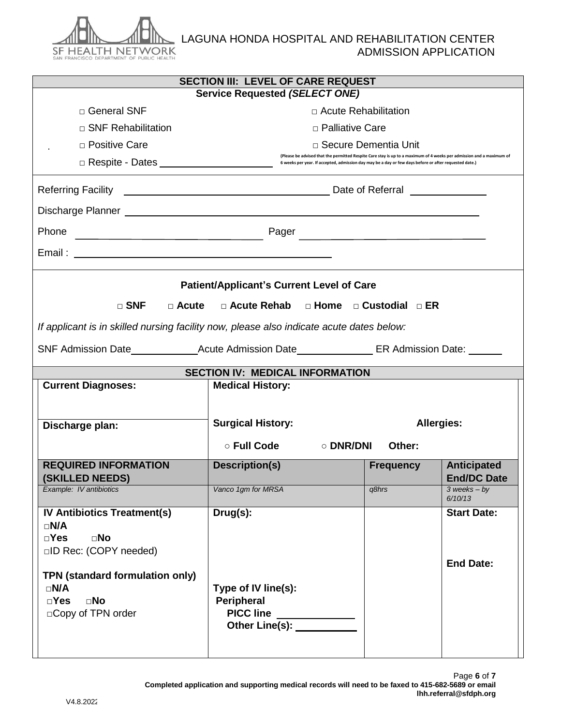

| SECTION III: LEVEL OF CARE REQUEST     |                                                                                                                      |                                                                                                                                                |                     |                                          |  |  |
|----------------------------------------|----------------------------------------------------------------------------------------------------------------------|------------------------------------------------------------------------------------------------------------------------------------------------|---------------------|------------------------------------------|--|--|
|                                        | <b>Service Requested (SELECT ONE)</b>                                                                                |                                                                                                                                                |                     |                                          |  |  |
|                                        | □ General SNF                                                                                                        | $\Box$ Acute Rehabilitation                                                                                                                    |                     |                                          |  |  |
|                                        | $\Box$ SNF Rehabilitation                                                                                            | □ Palliative Care                                                                                                                              |                     |                                          |  |  |
|                                        | □ Positive Care                                                                                                      | □ Secure Dementia Unit<br>(Please be advised that the permitted Respite Care stay is up to a maximum of 4 weeks per admission and a maximum of |                     |                                          |  |  |
|                                        | 6 weeks per year. If accepted, admission day may be a day or few days before or after requested date.)               |                                                                                                                                                |                     |                                          |  |  |
|                                        |                                                                                                                      |                                                                                                                                                |                     |                                          |  |  |
|                                        |                                                                                                                      |                                                                                                                                                |                     |                                          |  |  |
| Phone                                  | <u> 1980 - Johann Barn, mars ann an t-Amhain Aonaich an t-Aonaich an t-Aonaich ann an t-Aonaich ann an t-Aonaich</u> |                                                                                                                                                |                     |                                          |  |  |
|                                        |                                                                                                                      |                                                                                                                                                |                     |                                          |  |  |
|                                        |                                                                                                                      | <b>Patient/Applicant's Current Level of Care</b>                                                                                               |                     |                                          |  |  |
|                                        | $\Box$ SNF<br>□ Acute                                                                                                | □ Acute Rehab □ Home □ Custodial □ ER                                                                                                          |                     |                                          |  |  |
|                                        |                                                                                                                      | If applicant is in skilled nursing facility now, please also indicate acute dates below:                                                       |                     |                                          |  |  |
|                                        |                                                                                                                      |                                                                                                                                                |                     |                                          |  |  |
|                                        |                                                                                                                      |                                                                                                                                                |                     |                                          |  |  |
| <b>SECTION IV: MEDICAL INFORMATION</b> |                                                                                                                      |                                                                                                                                                |                     |                                          |  |  |
|                                        |                                                                                                                      |                                                                                                                                                |                     |                                          |  |  |
|                                        | <b>Current Diagnoses:</b>                                                                                            | <b>Medical History:</b>                                                                                                                        |                     |                                          |  |  |
|                                        |                                                                                                                      |                                                                                                                                                |                     |                                          |  |  |
|                                        | Discharge plan:                                                                                                      | <b>Surgical History:</b>                                                                                                                       |                     | <b>Allergies:</b>                        |  |  |
|                                        |                                                                                                                      | $\circ$ Full Code                                                                                                                              | ○ DNR/DNI<br>Other: |                                          |  |  |
|                                        | <b>REQUIRED INFORMATION</b>                                                                                          | <b>Description(s)</b>                                                                                                                          | <b>Frequency</b>    | <b>Anticipated</b><br><b>End/DC Date</b> |  |  |
|                                        | (SKILLED NEEDS)<br>Example: IV antibiotics                                                                           | Vanco 1gm for MRSA                                                                                                                             | q8hrs               | $3$ weeks - by<br>6/10/13                |  |  |
|                                        | <b>IV Antibiotics Treatment(s)</b>                                                                                   | Drug(s):                                                                                                                                       |                     | <b>Start Date:</b>                       |  |  |
| $\square N/A$                          |                                                                                                                      |                                                                                                                                                |                     |                                          |  |  |
| $\square$ Yes                          | $\square$ No<br>□ID Rec: (COPY needed)                                                                               |                                                                                                                                                |                     |                                          |  |  |
|                                        |                                                                                                                      |                                                                                                                                                |                     | <b>End Date:</b>                         |  |  |
|                                        | TPN (standard formulation only)                                                                                      |                                                                                                                                                |                     |                                          |  |  |
| $\square N/A$<br>$\square$ Yes         | $\square$ No                                                                                                         | Type of IV line(s):<br><b>Peripheral</b>                                                                                                       |                     |                                          |  |  |
|                                        | □ Copy of TPN order                                                                                                  | PICC line                                                                                                                                      |                     |                                          |  |  |
|                                        |                                                                                                                      | Other Line(s): <u>_________</u>                                                                                                                |                     |                                          |  |  |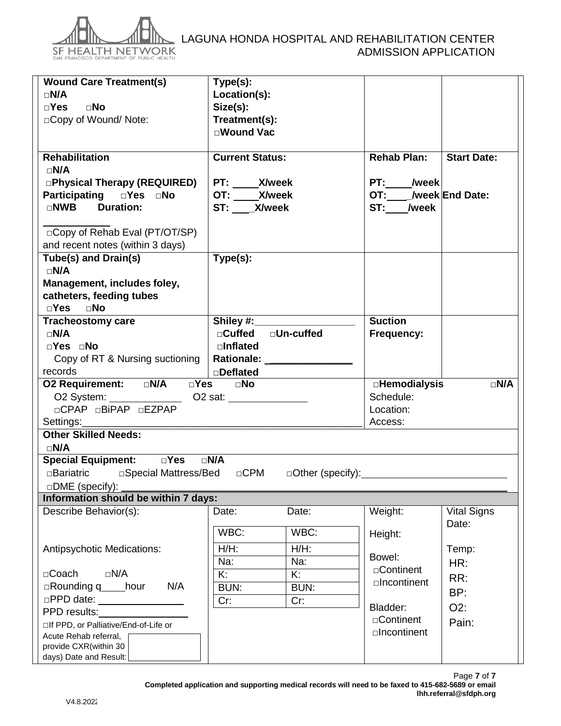

# LAGUNA HONDA HOSPITAL AND REHABILITATION CENTER ADMISSION APPLICATION

| <b>Wound Care Treatment(s)</b><br>$\square N/A$<br>$\square$ Yes<br>$\square$ No<br>□Copy of Wound/Note:<br><b>Rehabilitation</b><br>$\square N/A$<br><b>OPhysical Therapy (REQUIRED)</b><br><b>Participating  OPER  OPERITY</b><br><b>Duration:</b><br>$\Box$ NWB | Type(s):<br>Location(s):<br>Size(s):<br>Treatment(s):<br><b>⊓Wound Vac</b><br><b>Current Status:</b><br>PT: _____ X/week<br>OT: ____X/week<br>ST: _X/week |                                   | <b>Rehab Plan:</b><br>PT: /week<br>OT:____/week End Date:<br>ST: /week | <b>Start Date:</b> |  |  |
|--------------------------------------------------------------------------------------------------------------------------------------------------------------------------------------------------------------------------------------------------------------------|-----------------------------------------------------------------------------------------------------------------------------------------------------------|-----------------------------------|------------------------------------------------------------------------|--------------------|--|--|
| □ Copy of Rehab Eval (PT/OT/SP)                                                                                                                                                                                                                                    |                                                                                                                                                           |                                   |                                                                        |                    |  |  |
| and recent notes (within 3 days)<br><b>Tube(s) and Drain(s)</b><br>$\square N/A$<br>Management, includes foley,                                                                                                                                                    | Type(s):                                                                                                                                                  |                                   |                                                                        |                    |  |  |
| catheters, feeding tubes                                                                                                                                                                                                                                           |                                                                                                                                                           |                                   |                                                                        |                    |  |  |
| $\square$ Yes $\square$ No                                                                                                                                                                                                                                         |                                                                                                                                                           |                                   |                                                                        |                    |  |  |
| <b>Tracheostomy care</b><br>$\square N/A$                                                                                                                                                                                                                          | Shiley #:<br>□Cuffed □Un-cuffed                                                                                                                           |                                   | <b>Suction</b><br>Frequency:                                           |                    |  |  |
| □Yes □No                                                                                                                                                                                                                                                           | $\square$ Inflated                                                                                                                                        |                                   |                                                                        |                    |  |  |
| Copy of RT & Nursing suctioning                                                                                                                                                                                                                                    |                                                                                                                                                           | Rationale: <u>_______________</u> |                                                                        |                    |  |  |
| records                                                                                                                                                                                                                                                            | □ <b>Deflated</b>                                                                                                                                         |                                   |                                                                        | $\neg N/A$         |  |  |
| O2 Requirement: DN/A DYes DNo<br><b>EHemodialysis</b>                                                                                                                                                                                                              |                                                                                                                                                           |                                   |                                                                        |                    |  |  |
| O2 System: _____________________ O2 sat:                                                                                                                                                                                                                           |                                                                                                                                                           |                                   | Schedule:                                                              |                    |  |  |
| □CPAP □BiPAP □EZPAP                                                                                                                                                                                                                                                |                                                                                                                                                           |                                   | Location:                                                              |                    |  |  |
| <b>Other Skilled Needs:</b>                                                                                                                                                                                                                                        |                                                                                                                                                           |                                   | Access:                                                                |                    |  |  |
| $\square N/A$                                                                                                                                                                                                                                                      |                                                                                                                                                           |                                   |                                                                        |                    |  |  |
|                                                                                                                                                                                                                                                                    |                                                                                                                                                           |                                   |                                                                        |                    |  |  |
| □Bariatric  □Special Mattress/Bed □CPM □Other (specify):                                                                                                                                                                                                           |                                                                                                                                                           |                                   |                                                                        |                    |  |  |
| DME (specify):                                                                                                                                                                                                                                                     |                                                                                                                                                           |                                   |                                                                        |                    |  |  |
| Information should be within 7 days:                                                                                                                                                                                                                               |                                                                                                                                                           |                                   |                                                                        |                    |  |  |
| Describe Behavior(s):                                                                                                                                                                                                                                              | Date:                                                                                                                                                     | Date:                             | Weight:                                                                | <b>Vital Signs</b> |  |  |
|                                                                                                                                                                                                                                                                    |                                                                                                                                                           |                                   |                                                                        | Date:              |  |  |
|                                                                                                                                                                                                                                                                    | WBC:                                                                                                                                                      | WBC:                              | Height:                                                                |                    |  |  |
| Antipsychotic Medications:                                                                                                                                                                                                                                         | $H/H$ :                                                                                                                                                   | $H/H$ :                           | Bowel:                                                                 | Temp:              |  |  |
|                                                                                                                                                                                                                                                                    | Na:                                                                                                                                                       | Na:                               | □Continent                                                             | HR:                |  |  |
| $\square N/A$<br>$\Box$ Coach<br>N/A                                                                                                                                                                                                                               | Κ.                                                                                                                                                        | K:                                | □Incontinent                                                           | RR:                |  |  |
| $\Box$ Rounding q hour<br>□PPD date: <u>_______________</u>                                                                                                                                                                                                        | <b>BUN:</b><br><b>BUN:</b>                                                                                                                                |                                   |                                                                        | BP:                |  |  |
| PPD results:                                                                                                                                                                                                                                                       | Cr:<br>Cr:                                                                                                                                                |                                   | Bladder:                                                               | O2:                |  |  |
| □If PPD, or Palliative/End-of-Life or                                                                                                                                                                                                                              |                                                                                                                                                           |                                   | □Continent                                                             | Pain:              |  |  |
| Acute Rehab referral,                                                                                                                                                                                                                                              |                                                                                                                                                           |                                   | □Incontinent                                                           |                    |  |  |
| provide CXR(within 30<br>days) Date and Result:                                                                                                                                                                                                                    |                                                                                                                                                           |                                   |                                                                        |                    |  |  |